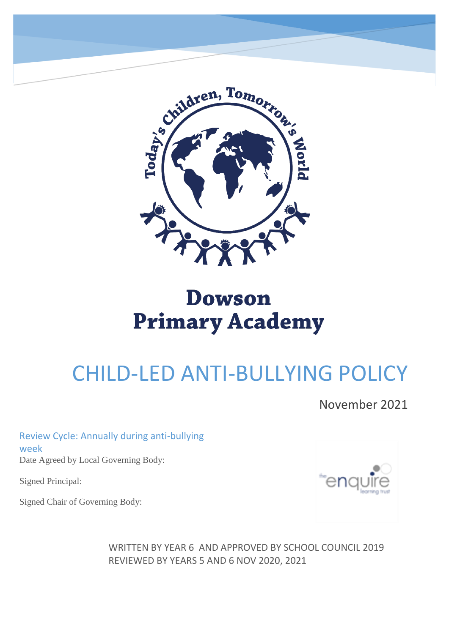

# **Dowson Primary Academy**

# CHILD-LED ANTI-BULLYING POLICY

November 2021

Review Cycle: Annually during anti-bullying week Date Agreed by Local Governing Body:

Signed Principal:

Signed Chair of Governing Body:



WRITTEN BY YEAR 6 AND APPROVED BY SCHOOL COUNCIL 2019 REVIEWED BY YEARS 5 AND 6 NOV 2020, 2021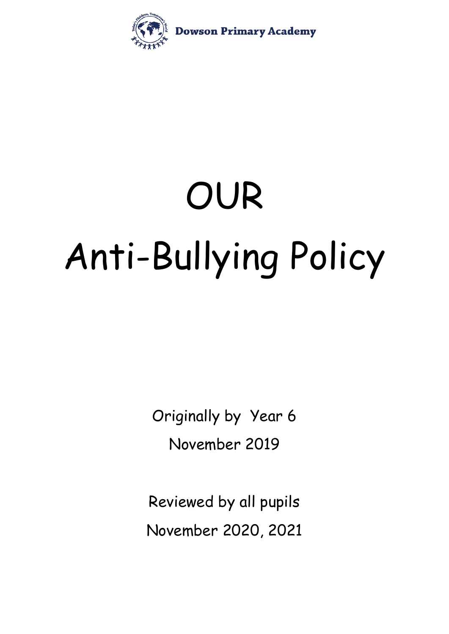

# OUR Anti-Bullying Policy

Originally by Year 6 November 2019

Reviewed by all pupils November 2020, 2021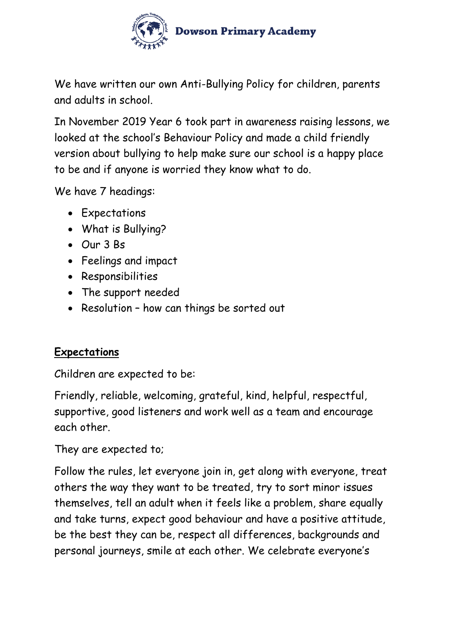

We have written our own Anti-Bullying Policy for children, parents and adults in school.

In November 2019 Year 6 took part in awareness raising lessons, we looked at the school's Behaviour Policy and made a child friendly version about bullying to help make sure our school is a happy place to be and if anyone is worried they know what to do.

We have 7 headings:

- Expectations
- What is Bullying?
- Our 3 Bs
- Feelings and impact
- Responsibilities
- The support needed
- Resolution how can things be sorted out

## **Expectations**

Children are expected to be:

Friendly, reliable, welcoming, grateful, kind, helpful, respectful, supportive, good listeners and work well as a team and encourage each other.

They are expected to;

Follow the rules, let everyone join in, get along with everyone, treat others the way they want to be treated, try to sort minor issues themselves, tell an adult when it feels like a problem, share equally and take turns, expect good behaviour and have a positive attitude, be the best they can be, respect all differences, backgrounds and personal journeys, smile at each other. We celebrate everyone's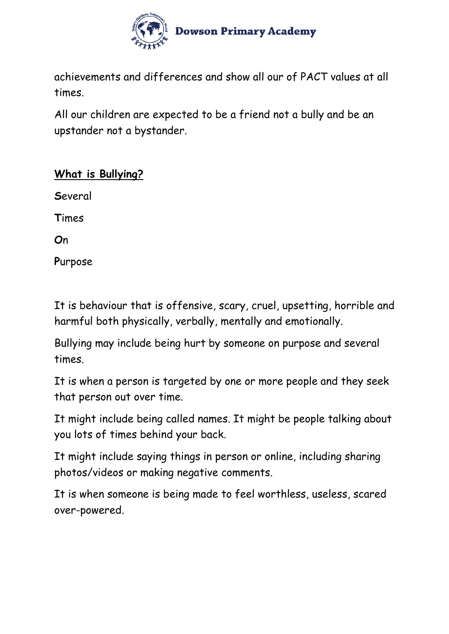

achievements and differences and show all our of PACT values at all times.

All our children are expected to be a friend not a bully and be an upstander not a bystander.

#### **What is Bullying?**

**S**everal

**T**imes

**O**n

**P**urpose

It is behaviour that is offensive, scary, cruel, upsetting, horrible and harmful both physically, verbally, mentally and emotionally.

Bullying may include being hurt by someone on purpose and several times.

It is when a person is targeted by one or more people and they seek that person out over time.

It might include being called names. It might be people talking about you lots of times behind your back.

It might include saying things in person or online, including sharing photos/videos or making negative comments.

It is when someone is being made to feel worthless, useless, scared over-powered.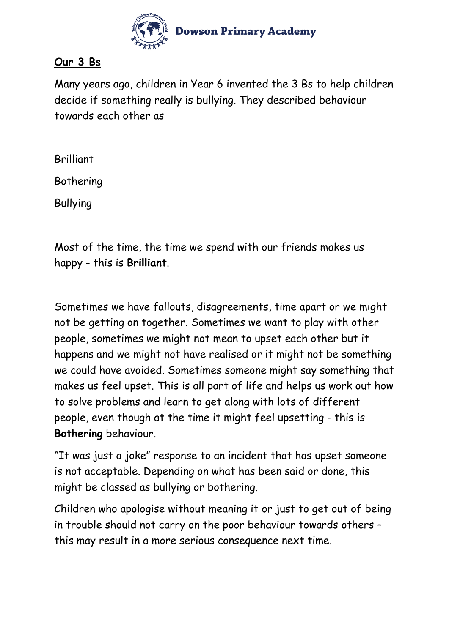

#### **Our 3 Bs**

Many years ago, children in Year 6 invented the 3 Bs to help children decide if something really is bullying. They described behaviour towards each other as

Brilliant

Bothering

Bullying

Most of the time, the time we spend with our friends makes us happy - this is **Brilliant**.

Sometimes we have fallouts, disagreements, time apart or we might not be getting on together. Sometimes we want to play with other people, sometimes we might not mean to upset each other but it happens and we might not have realised or it might not be something we could have avoided. Sometimes someone might say something that makes us feel upset. This is all part of life and helps us work out how to solve problems and learn to get along with lots of different people, even though at the time it might feel upsetting - this is **Bothering** behaviour.

"It was just a joke" response to an incident that has upset someone is not acceptable. Depending on what has been said or done, this might be classed as bullying or bothering.

Children who apologise without meaning it or just to get out of being in trouble should not carry on the poor behaviour towards others – this may result in a more serious consequence next time.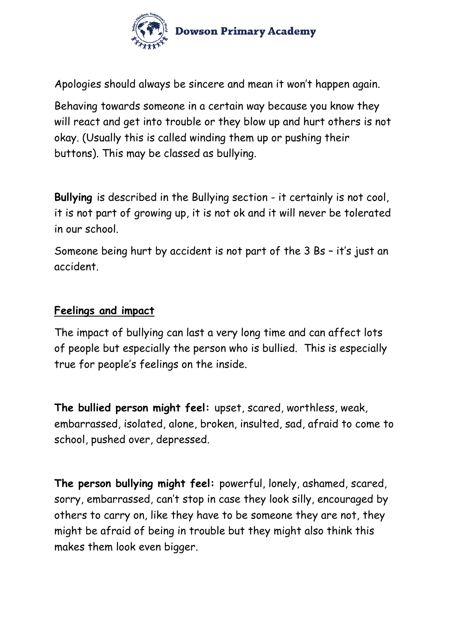

Apologies should always be sincere and mean it won't happen again.

Behaving towards someone in a certain way because you know they will react and get into trouble or they blow up and hurt others is not okay. (Usually this is called winding them up or pushing their buttons). This may be classed as bullying.

**Bullying** is described in the Bullying section - it certainly is not cool, it is not part of growing up, it is not ok and it will never be tolerated in our school.

Someone being hurt by accident is not part of the 3 Bs – it's just an accident.

#### **Feelings and impact**

The impact of bullying can last a very long time and can affect lots of people but especially the person who is bullied. This is especially true for people's feelings on the inside.

**The bullied person might feel:** upset, scared, worthless, weak, embarrassed, isolated, alone, broken, insulted, sad, afraid to come to school, pushed over, depressed.

**The person bullying might feel:** powerful, lonely, ashamed, scared, sorry, embarrassed, can't stop in case they look silly, encouraged by others to carry on, like they have to be someone they are not, they might be afraid of being in trouble but they might also think this makes them look even bigger.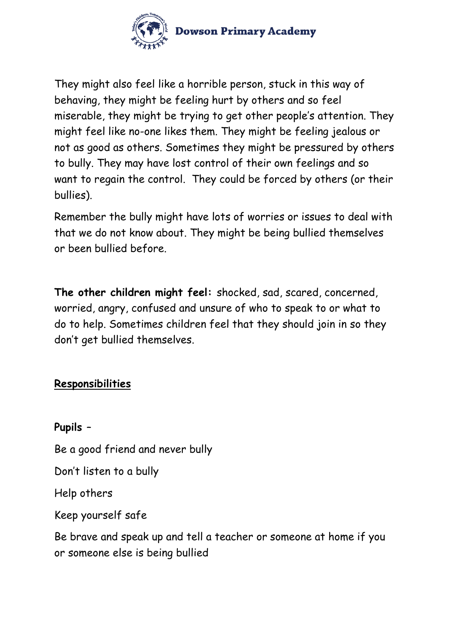

They might also feel like a horrible person, stuck in this way of behaving, they might be feeling hurt by others and so feel miserable, they might be trying to get other people's attention. They might feel like no-one likes them. They might be feeling jealous or not as good as others. Sometimes they might be pressured by others to bully. They may have lost control of their own feelings and so want to regain the control. They could be forced by others (or their bullies).

Remember the bully might have lots of worries or issues to deal with that we do not know about. They might be being bullied themselves or been bullied before.

**The other children might feel:** shocked, sad, scared, concerned, worried, angry, confused and unsure of who to speak to or what to do to help. Sometimes children feel that they should join in so they don't get bullied themselves.

## **Responsibilities**

**Pupils** –

Be a good friend and never bully

Don't listen to a bully

Help others

Keep yourself safe

Be brave and speak up and tell a teacher or someone at home if you or someone else is being bullied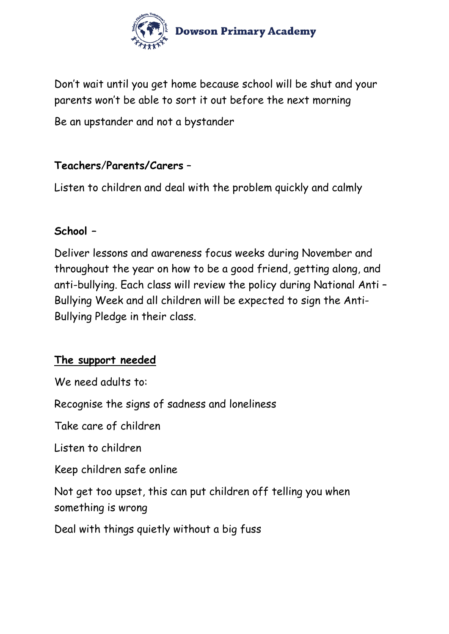

Don't wait until you get home because school will be shut and your parents won't be able to sort it out before the next morning

Be an upstander and not a bystander

#### **Teachers**/**Parents/Carers** –

Listen to children and deal with the problem quickly and calmly

#### **School –**

Deliver lessons and awareness focus weeks during November and throughout the year on how to be a good friend, getting along, and anti-bullying. Each class will review the policy during National Anti – Bullying Week and all children will be expected to sign the Anti-Bullying Pledge in their class.

## **The support needed**

We need adults to:

Recognise the signs of sadness and loneliness

Take care of children

Listen to children

Keep children safe online

Not get too upset, this can put children off telling you when something is wrong

Deal with things quietly without a big fuss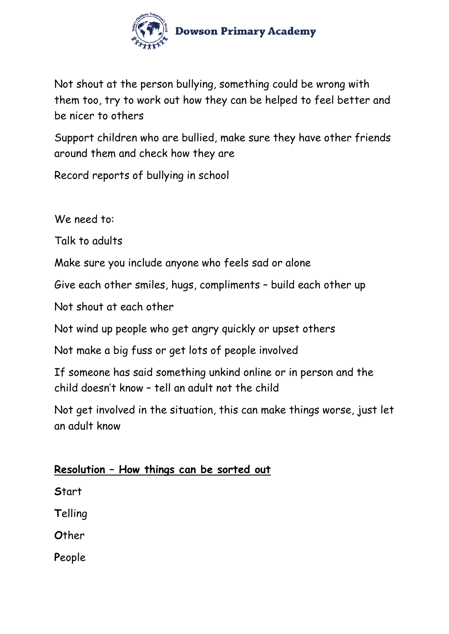

Not shout at the person bullying, something could be wrong with them too, try to work out how they can be helped to feel better and be nicer to others

Support children who are bullied, make sure they have other friends around them and check how they are

Record reports of bullying in school

We need to:

Talk to adults

Make sure you include anyone who feels sad or alone

Give each other smiles, hugs, compliments – build each other up

Not shout at each other

Not wind up people who get angry quickly or upset others

Not make a big fuss or get lots of people involved

If someone has said something unkind online or in person and the child doesn't know – tell an adult not the child

Not get involved in the situation, this can make things worse, just let an adult know

## **Resolution – How things can be sorted out**

**S**tart

**T**elling

**O**ther

**P**eople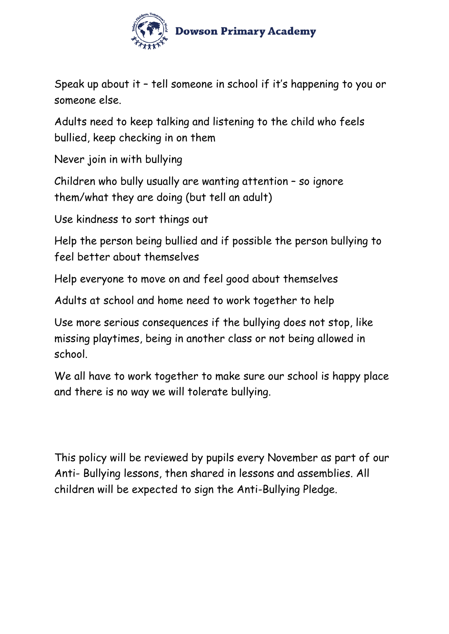

Speak up about it – tell someone in school if it's happening to you or someone else.

Adults need to keep talking and listening to the child who feels bullied, keep checking in on them

Never join in with bullying

Children who bully usually are wanting attention – so ignore them/what they are doing (but tell an adult)

Use kindness to sort things out

Help the person being bullied and if possible the person bullying to feel better about themselves

Help everyone to move on and feel good about themselves

Adults at school and home need to work together to help

Use more serious consequences if the bullying does not stop, like missing playtimes, being in another class or not being allowed in school.

We all have to work together to make sure our school is happy place and there is no way we will tolerate bullying.

This policy will be reviewed by pupils every November as part of our Anti- Bullying lessons, then shared in lessons and assemblies. All children will be expected to sign the Anti-Bullying Pledge.